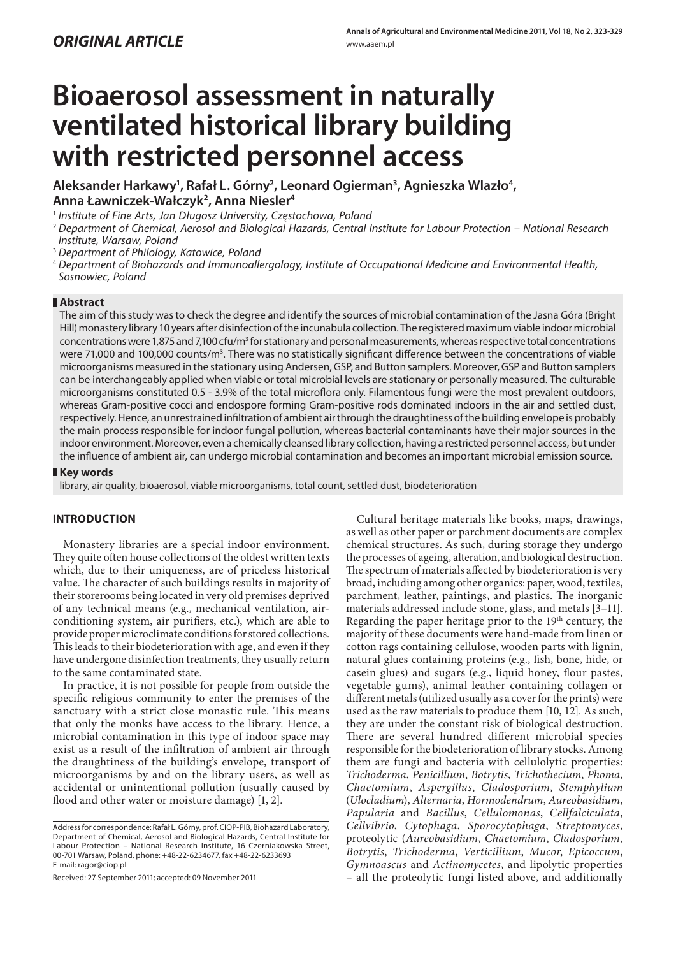# **Bioaerosol assessment in naturally ventilated historical library building with restricted personnel access**

Aleksander Harkawy<sup>ı</sup>, Rafał L. Górny<sup>2</sup>, Leonard Ogierman<sup>3</sup>, Agnieszka Wlazło<sup>4</sup>, **Anna Ławniczek-Wałczyk2 , Anna Niesler4**

<sup>1</sup> Institute of Fine Arts, Jan Długosz University, Częstochowa, Poland

- <sup>3</sup> Department of Philology, Katowice, Poland
- <sup>4</sup>Department of Biohazards and Immunoallergology, Institute of Occupational Medicine and Environmental Health, Sosnowiec, Poland

# **Abstract**

The aim of this study was to check the degree and identify the sources of microbial contamination of the Jasna Góra (Bright Hill) monastery library 10 years after disinfection of the incunabula collection. The registered maximum viable indoor microbial concentrations were 1,875 and 7,100 cfu/m<sup>3</sup> for stationary and personal measurements, whereas respective total concentrations were 71,000 and 100,000 counts/m<sup>3</sup>. There was no statistically significant difference between the concentrations of viable microorganisms measured in the stationary using Andersen, GSP, and Button samplers. Moreover, GSP and Button samplers can be interchangeably applied when viable or total microbial levels are stationary or personally measured. The culturable microorganisms constituted 0.5 - 3.9% of the total microflora only. Filamentous fungi were the most prevalent outdoors, whereas Gram-positive cocci and endospore forming Gram-positive rods dominated indoors in the air and settled dust, respectively. Hence, an unrestrained infiltration of ambient air through the draughtiness of the building envelope is probably the main process responsible for indoor fungal pollution, whereas bacterial contaminants have their major sources in the indoor environment. Moreover, even a chemically cleansed library collection, having a restricted personnel access, but under the influence of ambient air, can undergo microbial contamination and becomes an important microbial emission source.

# **Key words**

library, air quality, bioaerosol, viable microorganisms, total count, settled dust, biodeterioration

# **INTRODUCTION**

Monastery libraries are a special indoor environment. They quite often house collections of the oldest written texts which, due to their uniqueness, are of priceless historical value. The character of such buildings results in majority of their storerooms being located in very old premises deprived of any technical means (e.g., mechanical ventilation, airconditioning system, air purifiers, etc.), which are able to provide proper microclimate conditions for stored collections. This leads to their biodeterioration with age, and even if they have undergone disinfection treatments, they usually return to the same contaminated state.

In practice, it is not possible for people from outside the specific religious community to enter the premises of the sanctuary with a strict close monastic rule. This means that only the monks have access to the library. Hence, a microbial contamination in this type of indoor space may exist as a result of the infiltration of ambient air through the draughtiness of the building's envelope, transport of microorganisms by and on the library users, as well as accidental or unintentional pollution (usually caused by flood and other water or moisture damage) [1, 2].

Received: 27 September 2011; accepted: 09 November 2011

Cultural heritage materials like books, maps, drawings, as well as other paper or parchment documents are complex chemical structures. As such, during storage they undergo the processes of ageing, alteration, and biological destruction. The spectrum of materials affected by biodeterioration is very broad, including among other organics: paper, wood, textiles, parchment, leather, paintings, and plastics. The inorganic materials addressed include stone, glass, and metals [3–11]. Regarding the paper heritage prior to the 19<sup>th</sup> century, the majority of these documents were hand-made from linen or cotton rags containing cellulose, wooden parts with lignin, natural glues containing proteins (e.g., fish, bone, hide, or casein glues) and sugars (e.g., liquid honey, flour pastes, vegetable gums), animal leather containing collagen or different metals (utilized usually as a cover for the prints) were used as the raw materials to produce them [10, 12]. As such, they are under the constant risk of biological destruction. There are several hundred different microbial species responsible for the biodeterioration of library stocks. Among them are fungi and bacteria with cellulolytic properties: *Trichoderma*, *Penicillium*, *Botrytis*, *Trichothecium*, *Phoma*, *Chaetomium*, *Aspergillus*, *Cladosporium, Stemphylium*  (*Ulocladium*), *Alternaria*, *Hormodendrum*, *Aureobasidium*, *Papularia* and *Bacillus*, *Cellulomonas*, *Cellfalciculata*, *Cellvibrio*, *Cytophaga*, *Sporocytophaga*, *Streptomyces*, proteolytic (*Aureobasidium*, *Chaetomium*, *Cladosporium, Botrytis*, *Trichoderma*, *Verticillium*, *Mucor*, *Epicoccum*, *Gymnoascus* and *Actinomycetes*, and lipolytic properties – all the proteolytic fungi listed above, and additionally

<sup>2</sup>Department of Chemical, Aerosol and Biological Hazards, Central Institute for Labour Protection – National Research Institute, Warsaw, Poland

Address for correspondence: Rafał L. Górny, prof. CIOP-PIB, Biohazard Laboratory, Department of Chemical, Aerosol and Biological Hazards, Central Institute for Labour Protection – National Research Institute, 16 Czerniakowska Street, 00-701 Warsaw, Poland, phone: +48-22-6234677, fax +48-22-6233693 E-mail: ragor@ciop.pl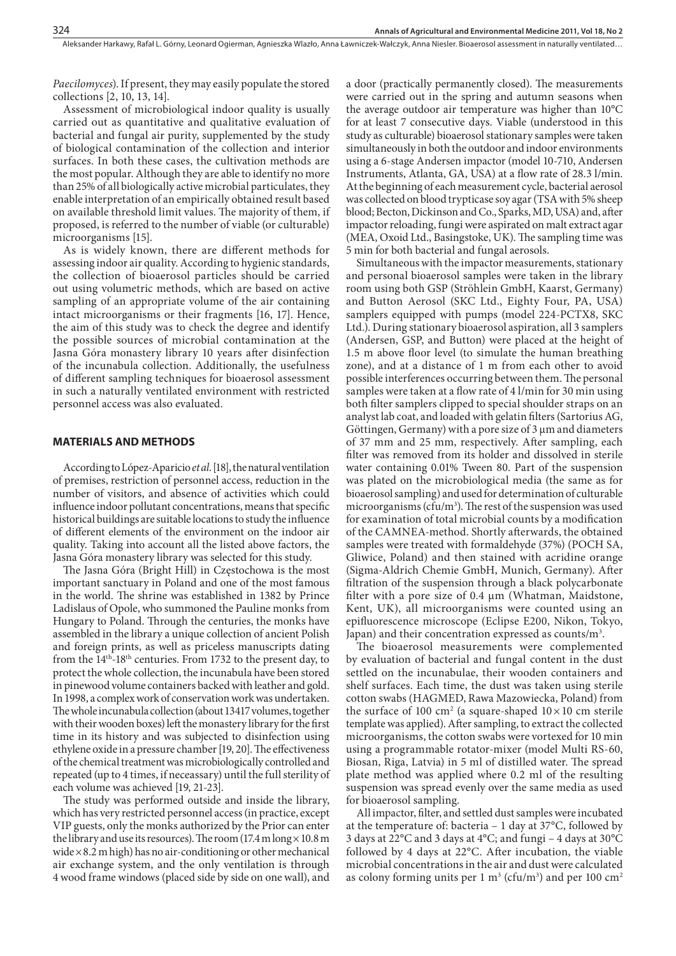*Paecilomyces*). If present, they may easily populate the stored collections [2, 10, 13, 14].

Assessment of microbiological indoor quality is usually carried out as quantitative and qualitative evaluation of bacterial and fungal air purity, supplemented by the study of biological contamination of the collection and interior surfaces. In both these cases, the cultivation methods are the most popular. Although they are able to identify no more than 25% of all biologically active microbial particulates, they enable interpretation of an empirically obtained result based on available threshold limit values. The majority of them, if proposed, is referred to the number of viable (or culturable) microorganisms [15].

As is widely known, there are different methods for assessing indoor air quality. According to hygienic standards, the collection of bioaerosol particles should be carried out using volumetric methods, which are based on active sampling of an appropriate volume of the air containing intact microorganisms or their fragments [16, 17]. Hence, the aim of this study was to check the degree and identify the possible sources of microbial contamination at the Jasna Góra monastery library 10 years after disinfection of the incunabula collection. Additionally, the usefulness of different sampling techniques for bioaerosol assessment in such a naturally ventilated environment with restricted personnel access was also evaluated.

#### **MATERIALS AND METHODS**

According to López-Aparicio *et al*. [18], the natural ventilation of premises, restriction of personnel access, reduction in the number of visitors, and absence of activities which could influence indoor pollutant concentrations, means that specific historical buildings are suitable locations to study the influence of different elements of the environment on the indoor air quality. Taking into account all the listed above factors, the Jasna Góra monastery library was selected for this study.

The Jasna Góra (Bright Hill) in Częstochowa is the most important sanctuary in Poland and one of the most famous in the world. The shrine was established in 1382 by Prince Ladislaus of Opole, who summoned the Pauline monks from Hungary to Poland. Through the centuries, the monks have assembled in the library a unique collection of ancient Polish and foreign prints, as well as priceless manuscripts dating from the 14th-18th centuries. From 1732 to the present day, to protect the whole collection, the incunabula have been stored in pinewood volume containers backed with leather and gold. In 1998, a complex work of conservation work was undertaken. The whole incunabula collection (about 13417 volumes, together with their wooden boxes) left the monastery library for the first time in its history and was subjected to disinfection using ethylene oxide in a pressure chamber [19, 20]. The effectiveness of the chemical treatment was microbiologically controlled and repeated (up to 4 times, if neceassary) until the full sterility of each volume was achieved [19, 21-23].

The study was performed outside and inside the library, which has very restricted personnel access (in practice, except VIP guests, only the monks authorized by the Prior can enter the library and use its resources). The room  $(17.4 \text{ m} \log \times 10.8 \text{ m})$ wide × 8.2 m high) has no air-conditioning or other mechanical air exchange system, and the only ventilation is through 4 wood frame windows (placed side by side on one wall), and

a door (practically permanently closed). The measurements were carried out in the spring and autumn seasons when the average outdoor air temperature was higher than 10°C for at least 7 consecutive days. Viable (understood in this study as culturable) bioaerosol stationary samples were taken simultaneously in both the outdoor and indoor environments using a 6-stage Andersen impactor (model 10-710, Andersen Instruments, Atlanta, GA, USA) at a flow rate of 28.3 l/min. At the beginning of each measurement cycle, bacterial aerosol was collected on blood trypticase soy agar (TSA with 5% sheep blood; Becton, Dickinson and Co., Sparks, MD, USA) and, after impactor reloading, fungi were aspirated on malt extract agar (MEA, Oxoid Ltd., Basingstoke, UK). The sampling time was 5 min for both bacterial and fungal aerosols.

Simultaneous with the impactor measurements, stationary and personal bioaerosol samples were taken in the library room using both GSP (Ströhlein GmbH, Kaarst, Germany) and Button Aerosol (SKC Ltd., Eighty Four, PA, USA) samplers equipped with pumps (model 224-PCTX8, SKC Ltd.). During stationary bioaerosol aspiration, all 3 samplers (Andersen, GSP, and Button) were placed at the height of 1.5 m above floor level (to simulate the human breathing zone), and at a distance of 1 m from each other to avoid possible interferences occurring between them. The personal samples were taken at a flow rate of 4 l/min for 30 min using both filter samplers clipped to special shoulder straps on an analyst lab coat, and loaded with gelatin filters (Sartorius AG, Göttingen, Germany) with a pore size of 3 μm and diameters of 37 mm and 25 mm, respectively. After sampling, each filter was removed from its holder and dissolved in sterile water containing 0.01% Tween 80. Part of the suspension was plated on the microbiological media (the same as for bioaerosol sampling) and used for determination of culturable microorganisms (cfu/m<sup>3</sup>). The rest of the suspension was used for examination of total microbial counts by a modification of the CAMNEA-method. Shortly afterwards, the obtained samples were treated with formaldehyde (37%) (POCH SA, Gliwice, Poland) and then stained with acridine orange (Sigma-Aldrich Chemie GmbH, Munich, Germany). After filtration of the suspension through a black polycarbonate filter with a pore size of  $0.4 \mu m$  (Whatman, Maidstone, Kent, UK), all microorganisms were counted using an epifluorescence microscope (Eclipse E200, Nikon, Tokyo, Japan) and their concentration expressed as counts/m<sup>3</sup>.

The bioaerosol measurements were complemented by evaluation of bacterial and fungal content in the dust settled on the incunabulae, their wooden containers and shelf surfaces. Each time, the dust was taken using sterile cotton swabs (HAGMED, Rawa Mazowiecka, Poland) from the surface of 100 cm<sup>2</sup> (a square-shaped  $10 \times 10$  cm sterile template was applied). After sampling, to extract the collected microorganisms, the cotton swabs were vortexed for 10 min using a programmable rotator-mixer (model Multi RS-60, Biosan, Riga, Latvia) in 5 ml of distilled water. The spread plate method was applied where 0.2 ml of the resulting suspension was spread evenly over the same media as used for bioaerosol sampling.

All impactor, filter, and settled dust samples were incubated at the temperature of: bacteria – 1 day at 37°C, followed by 3 days at 22°C and 3 days at 4°C; and fungi – 4 days at 30°C followed by 4 days at  $22^{\circ}$ C. After incubation, the viable microbial concentrations in the air and dust were calculated as colony forming units per 1  $m<sup>3</sup>$  (cfu/m<sup>3</sup>) and per 100  $cm<sup>2</sup>$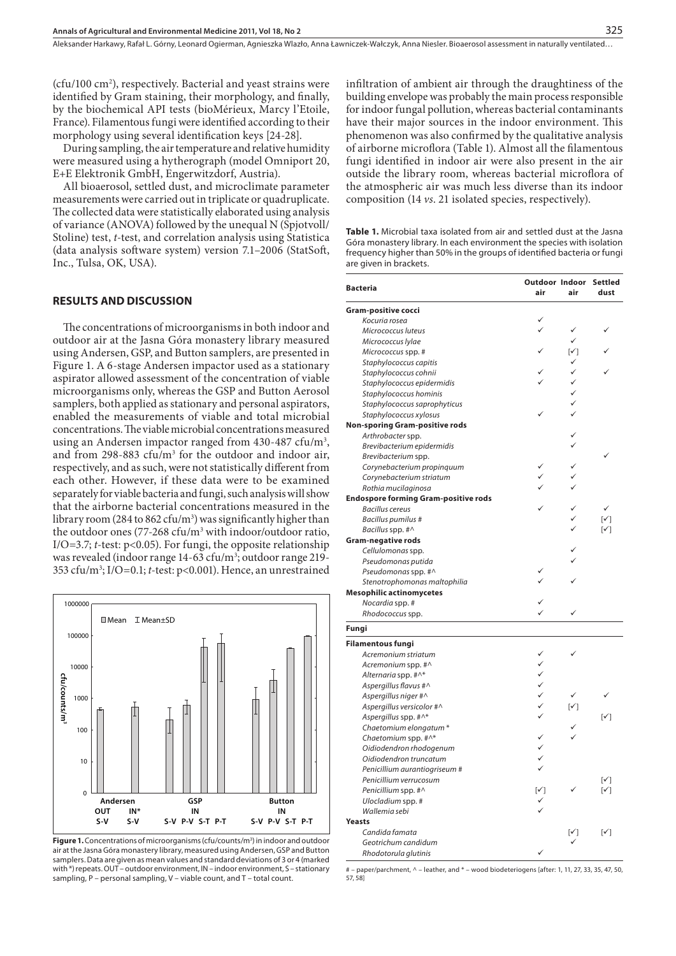Aleksander Harkawy, Rafał L. Górny, Leonard Ogierman, Agnieszka Wlazło, Anna Ławniczek-Wałczyk, Anna Niesler. Bioaerosol assessment in naturally ventilated…

(cfu/100 cm2 ), respectively. Bacterial and yeast strains were identified by Gram staining, their morphology, and finally, by the biochemical API tests (bioMérieux, Marcy l'Etoile, France). Filamentous fungi were identified according to their morphology using several identification keys [24-28].

During sampling, the air temperature and relative humidity were measured using a hytherograph (model Omniport 20, E+E Elektronik GmbH, Engerwitzdorf, Austria).

All bioaerosol, settled dust, and microclimate parameter measurements were carried out in triplicate or quadruplicate. The collected data were statistically elaborated using analysis of variance (ANOVA) followed by the unequal N (Spjotvoll/ Stoline) test, *t*-test, and correlation analysis using Statistica (data analysis software system) version 7.1–2006 (StatSoft, Inc., Tulsa, OK, USA).

#### **RESULTS AND DISCUSSION**

The concentrations of microorganisms in both indoor and outdoor air at the Jasna Góra monastery library measured using Andersen, GSP, and Button samplers, are presented in Figure 1. A 6-stage Andersen impactor used as a stationary aspirator allowed assessment of the concentration of viable microorganisms only, whereas the GSP and Button Aerosol samplers, both applied as stationary and personal aspirators, enabled the measurements of viable and total microbial concentrations. The viable microbial concentrations measured using an Andersen impactor ranged from 430-487 cfu/m<sup>3</sup>, and from 298-883  $ctu/m<sup>3</sup>$  for the outdoor and indoor air, respectively, and as such, were not statistically different from each other. However, if these data were to be examined separately for viable bacteria and fungi, such analysis will show that the airborne bacterial concentrations measured in the library room (284 to 862 cfu/m $^3$ ) was significantly higher than the outdoor ones (77-268 cfu/m3 with indoor/outdoor ratio, I/O=3.7; *t*-test: p<0.05). For fungi, the opposite relationship was revealed (indoor range 14-63 cfu/m<sup>3</sup>; outdoor range 219-353 cfu/m3 ; I/O=0.1; *t*-test: p<0.001). Hence, an unrestrained



**Figure 1.** Concentrations of microorganisms (cfu/counts/m<sup>3</sup>) in indoor and outdoor air at the Jasna Góra monastery library, measured using Andersen, GSP and Button samplers. Data are given as mean values and standard deviations of 3 or 4 (marked with \*) repeats. OUT – outdoor environment, IN – indoor environment, S – stationary sampling, P – personal sampling, V – viable count, and T – total count.

infiltration of ambient air through the draughtiness of the building envelope was probably the main process responsible for indoor fungal pollution, whereas bacterial contaminants have their major sources in the indoor environment. This phenomenon was also confirmed by the qualitative analysis of airborne microflora (Table 1). Almost all the filamentous fungi identified in indoor air were also present in the air outside the library room, whereas bacterial microflora of the atmospheric air was much less diverse than its indoor composition (14 *vs*. 21 isolated species, respectively).

**Table 1.** Microbial taxa isolated from air and settled dust at the Jasna Góra monastery library. In each environment the species with isolation frequency higher than 50% in the groups of identified bacteria or fungi are given in brackets.

| <b>Bacteria</b>                             | Outdoor Indoor<br>air | air            | <b>Settled</b><br>dust     |
|---------------------------------------------|-----------------------|----------------|----------------------------|
| Gram-positive cocci                         |                       |                |                            |
| Kocuria rosea                               |                       |                |                            |
| Micrococcus luteus                          |                       | ✓              |                            |
| Micrococcus Iylae                           |                       | ✓              |                            |
| Micrococcus spp. #                          |                       | $[\checkmark]$ |                            |
| Staphylococcus capitis                      |                       |                |                            |
| Staphylococcus cohnii                       |                       |                |                            |
| Staphylococcus epidermidis                  |                       | ✓              |                            |
| Staphylococcus hominis                      |                       |                |                            |
| Staphylococcus saprophyticus                |                       |                |                            |
| Staphylococcus xylosus                      |                       |                |                            |
| <b>Non-sporing Gram-positive rods</b>       |                       |                |                            |
| Arthrobacter spp.                           |                       |                |                            |
| Brevibacterium epidermidis                  |                       |                |                            |
| Brevibacterium spp.                         |                       |                |                            |
| Corynebacterium propinguum                  |                       |                |                            |
| Corynebacterium striatum                    |                       |                |                            |
| Rothia mucilaginosa                         |                       |                |                            |
| <b>Endospore forming Gram-positive rods</b> |                       |                |                            |
| <b>Bacillus cereus</b>                      |                       |                |                            |
| Bacillus pumilus #                          |                       |                | $\lceil \sqrt{} \rceil$    |
| Bacillus spp. #^                            |                       |                | $\lceil \checkmark \rceil$ |
| <b>Gram-negative rods</b>                   |                       |                |                            |
| Cellulomonas spp.                           |                       |                |                            |
| Pseudomonas putida                          |                       |                |                            |
| Pseudomonas spp. #^                         |                       |                |                            |
| Stenotrophomonas maltophilia                |                       |                |                            |
| <b>Mesophilic actinomycetes</b>             |                       |                |                            |
| Nocardia spp. #                             |                       |                |                            |
| Rhodococcus spp.                            |                       |                |                            |
| Fungi                                       |                       |                |                            |
| <b>Filamentous fungi</b>                    |                       |                |                            |
| Acremonium striatum                         |                       |                |                            |
| Acremonium spp. #^                          |                       |                |                            |
| Alternaria spp. #^*                         | くくくくく                 |                |                            |
| Aspergillus flavus #^                       |                       |                |                            |
| Aspergillus niger #^                        |                       |                |                            |
| Aspergillus versicolor #^                   |                       | $[\checkmark]$ |                            |
| Aspergillus spp. #^*                        | $\checkmark$          |                | $\lceil \sqrt{} \rceil$    |
| Chaetomium elongatum*                       |                       |                |                            |
| Chaetomium spp. #^*                         |                       |                |                            |
| Oidiodendron rhodogenum                     | $\checkmark$          |                |                            |
| Oidiodendron truncatum                      | $\checkmark$          |                |                            |
| Penicillium aurantiogriseum #               |                       |                |                            |
| Penicillium verrucosum                      |                       |                | $\lceil \checkmark \rceil$ |
| Penicillium spp. #^                         | $[\checkmark]$        |                | $\lceil \sqrt{} \rceil$    |
| Ulocladium spp. #                           |                       |                |                            |
| Wallemia sebi                               |                       |                |                            |
| Yeasts                                      |                       |                |                            |
| Candida famata                              |                       | $[\checkmark]$ | $\lceil \checkmark \rceil$ |
| Geotrichum candidum                         |                       |                |                            |
| Rhodotorula glutinis                        |                       |                |                            |

- paper/parchment, ^ - leather, and \* - wood biodeteriogens [after: 1, 11, 27, 33, 35, 47, 50, 57, 58]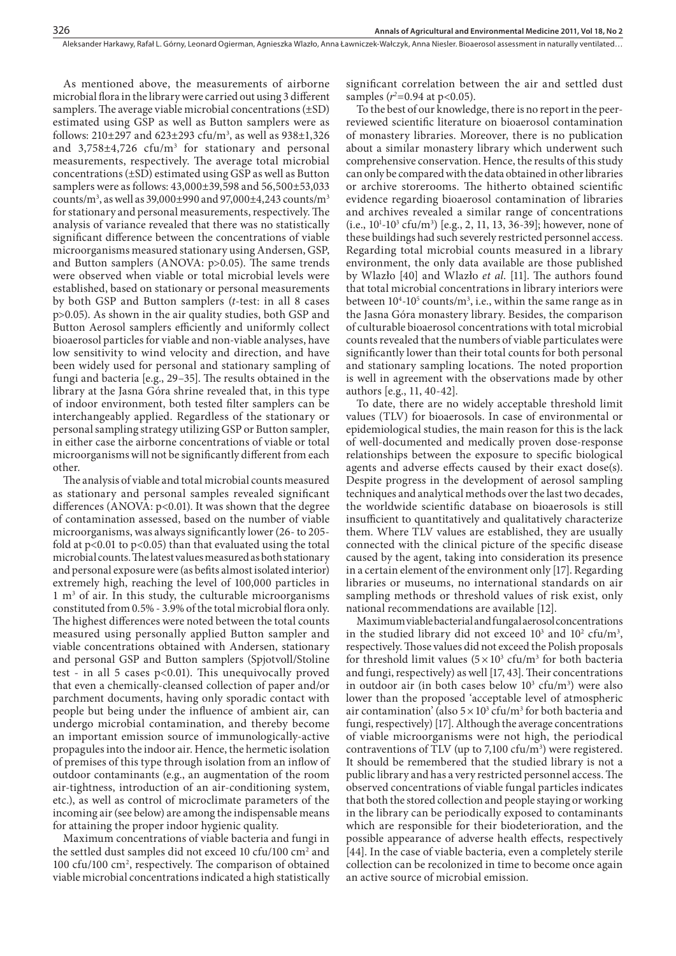As mentioned above, the measurements of airborne microbial flora in the library were carried out using 3 different samplers. The average viable microbial concentrations  $(\pm SD)$ estimated using GSP as well as Button samplers were as follows:  $210\pm297$  and  $623\pm293$  cfu/m<sup>3</sup>, as well as  $938\pm1,326$ and  $3,758\pm4,726$  cfu/m<sup>3</sup> for stationary and personal measurements, respectively. The average total microbial concentrations (±SD) estimated using GSP as well as Button samplers were as follows: 43,000±39,598 and 56,500±53,033 counts/m<sup>3</sup>, as well as 39,000±990 and 97,000±4,243 counts/m<sup>3</sup> for stationary and personal measurements, respectively. The analysis of variance revealed that there was no statistically significant difference between the concentrations of viable microorganisms measured stationary using Andersen, GSP, and Button samplers (ANOVA:  $p>0.05$ ). The same trends were observed when viable or total microbial levels were established, based on stationary or personal measurements by both GSP and Button samplers (*t*-test: in all 8 cases p>0.05). As shown in the air quality studies, both GSP and Button Aerosol samplers efficiently and uniformly collect bioaerosol particles for viable and non-viable analyses, have low sensitivity to wind velocity and direction, and have been widely used for personal and stationary sampling of fungi and bacteria [e.g., 29–35]. The results obtained in the library at the Jasna Góra shrine revealed that, in this type of indoor environment, both tested filter samplers can be interchangeably applied. Regardless of the stationary or personal sampling strategy utilizing GSP or Button sampler, in either case the airborne concentrations of viable or total microorganisms will not be significantly different from each other.

The analysis of viable and total microbial counts measured as stationary and personal samples revealed significant differences (ANOVA:  $p<0.01$ ). It was shown that the degree of contamination assessed, based on the number of viable microorganisms, was always significantly lower (26- to 205fold at  $p<0.01$  to  $p<0.05$ ) than that evaluated using the total microbial counts. The latest values measured as both stationary and personal exposure were (as befits almost isolated interior) extremely high, reaching the level of 100,000 particles in 1 m<sup>3</sup> of air. In this study, the culturable microorganisms constituted from 0.5% - 3.9% of the total microbial flora only. The highest differences were noted between the total counts measured using personally applied Button sampler and viable concentrations obtained with Andersen, stationary and personal GSP and Button samplers (Spjotvoll/Stoline test - in all 5 cases  $p<0.01$ ). This unequivocally proved that even a chemically-cleansed collection of paper and/or parchment documents, having only sporadic contact with people but being under the influence of ambient air, can undergo microbial contamination, and thereby become an important emission source of immunologically-active propagules into the indoor air. Hence, the hermetic isolation of premises of this type through isolation from an inflow of outdoor contaminants (e.g., an augmentation of the room air-tightness, introduction of an air-conditioning system, etc.), as well as control of microclimate parameters of the incoming air (see below) are among the indispensable means for attaining the proper indoor hygienic quality.

Maximum concentrations of viable bacteria and fungi in the settled dust samples did not exceed 10 cfu/100 cm<sup>2</sup> and 100 cfu/100 cm<sup>2</sup>, respectively. The comparison of obtained viable microbial concentrations indicated a high statistically significant correlation between the air and settled dust samples ( $r^2$ =0.94 at p<0.05).

To the best of our knowledge, there is no report in the peerreviewed scientific literature on bioaerosol contamination of monastery libraries. Moreover, there is no publication about a similar monastery library which underwent such comprehensive conservation. Hence, the results of this study can only be compared with the data obtained in other libraries or archive storerooms. The hitherto obtained scientific evidence regarding bioaerosol contamination of libraries and archives revealed a similar range of concentrations  $(i.e., 10<sup>1</sup>-10<sup>3</sup> cfu/m<sup>3</sup>)$  [e.g., 2, 11, 13, 36-39]; however, none of these buildings had such severely restricted personnel access. Regarding total microbial counts measured in a library environment, the only data available are those published by Wlazło [40] and Wlazło *et al.* [11]. The authors found that total microbial concentrations in library interiors were between  $10^4$ -10<sup>5</sup> counts/m<sup>3</sup>, i.e., within the same range as in the Jasna Góra monastery library. Besides, the comparison of culturable bioaerosol concentrations with total microbial counts revealed that the numbers of viable particulates were significantly lower than their total counts for both personal and stationary sampling locations. The noted proportion is well in agreement with the observations made by other authors [e.g., 11, 40-42].

To date, there are no widely acceptable threshold limit values (TLV) for bioaerosols. In case of environmental or epidemiological studies, the main reason for this is the lack of well-documented and medically proven dose-response relationships between the exposure to specific biological agents and adverse effects caused by their exact dose(s). Despite progress in the development of aerosol sampling techniques and analytical methods over the last two decades, the worldwide scientific database on bioaerosols is still insufficient to quantitatively and qualitatively characterize them. Where TLV values are established, they are usually connected with the clinical picture of the specific disease caused by the agent, taking into consideration its presence in a certain element of the environment only [17]. Regarding libraries or museums, no international standards on air sampling methods or threshold values of risk exist, only national recommendations are available [12].

Maximum viable bacterial and fungal aerosol concentrations in the studied library did not exceed  $10^3$  and  $10^2$  cfu/m<sup>3</sup>, respectively. Those values did not exceed the Polish proposals for threshold limit values  $(5 \times 10^3 \text{ cfu/m}^3)$  for both bacteria and fungi, respectively) as well [17, 43]. Their concentrations in outdoor air (in both cases below  $10^3$  cfu/m<sup>3</sup>) were also lower than the proposed 'acceptable level of atmospheric air contamination' (also  $5 \times 10^3$  cfu/m<sup>3</sup> for both bacteria and fungi, respectively) [17]. Although the average concentrations of viable microorganisms were not high, the periodical contraventions of TLV (up to 7,100 cfu/m<sup>3</sup>) were registered. It should be remembered that the studied library is not a public library and has a very restricted personnel access. The observed concentrations of viable fungal particles indicates that both the stored collection and people staying or working in the library can be periodically exposed to contaminants which are responsible for their biodeterioration, and the possible appearance of adverse health effects, respectively [44]. In the case of viable bacteria, even a completely sterile collection can be recolonized in time to become once again an active source of microbial emission.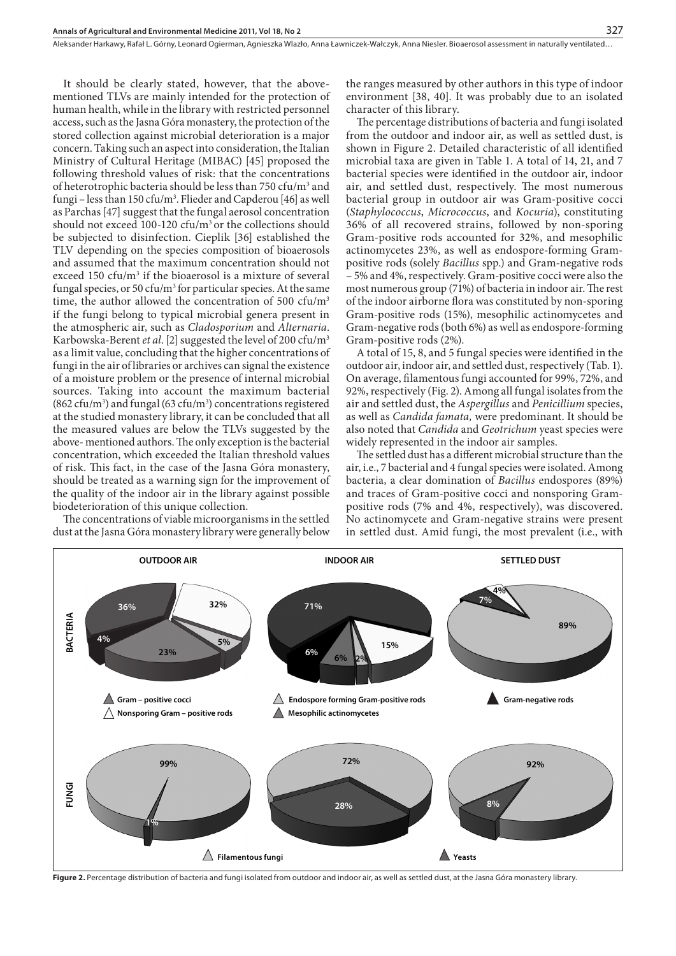It should be clearly stated, however, that the abovementioned TLVs are mainly intended for the protection of human health, while in the library with restricted personnel access, such as the Jasna Góra monastery, the protection of the stored collection against microbial deterioration is a major concern. Taking such an aspect into consideration, the Italian Ministry of Cultural Heritage (MIBAC) [45] proposed the following threshold values of risk: that the concentrations of heterotrophic bacteria should be less than 750 cfu/m<sup>3</sup> and fungi – less than 150 cfu/m<sup>3</sup>. Flieder and Capderou [46] as well as Parchas [47] suggest that the fungal aerosol concentration should not exceed 100-120 cfu/ $m<sup>3</sup>$  or the collections should be subjected to disinfection. Cieplik [36] established the TLV depending on the species composition of bioaerosols and assumed that the maximum concentration should not exceed  $150 \text{ cfu/m}^3$  if the bioaerosol is a mixture of several fungal species, or 50 cfu/m<sup>3</sup> for particular species. At the same time, the author allowed the concentration of 500  $cfu/m<sup>3</sup>$ if the fungi belong to typical microbial genera present in the atmospheric air, such as *Cladosporium* and *Alternaria*. Karbowska-Berent *et al*. [2] suggested the level of 200 cfu/m3 as a limit value, concluding that the higher concentrations of fungi in the air of libraries or archives can signal the existence of a moisture problem or the presence of internal microbial sources. Taking into account the maximum bacterial  $(862 \text{ cfu/m}^3)$  and fungal  $(63 \text{ cfu/m}^3)$  concentrations registered at the studied monastery library, it can be concluded that all the measured values are below the TLVs suggested by the above- mentioned authors. The only exception is the bacterial concentration, which exceeded the Italian threshold values of risk. This fact, in the case of the Jasna Góra monastery, should be treated as a warning sign for the improvement of the quality of the indoor air in the library against possible biodeterioration of this unique collection.

The concentrations of viable microorganisms in the settled dust at the Jasna Góra monastery library were generally below

the ranges measured by other authors in this type of indoor environment [38, 40]. It was probably due to an isolated character of this library.

The percentage distributions of bacteria and fungi isolated from the outdoor and indoor air, as well as settled dust, is shown in Figure 2. Detailed characteristic of all identified microbial taxa are given in Table 1. A total of 14, 21, and 7 bacterial species were identified in the outdoor air, indoor air, and settled dust, respectively. The most numerous bacterial group in outdoor air was Gram-positive cocci (*Staphylococcus*, *Micrococcus*, and *Kocuria*), constituting 36% of all recovered strains, followed by non-sporing Gram-positive rods accounted for 32%, and mesophilic actinomycetes 23%, as well as endospore-forming Grampositive rods (solely *Bacillus* spp.) and Gram-negative rods – 5% and 4%, respectively. Gram-positive cocci were also the most numerous group (71%) of bacteria in indoor air. The rest of the indoor airborne flora was constituted by non-sporing Gram-positive rods (15%), mesophilic actinomycetes and Gram-negative rods (both 6%) as well as endospore-forming Gram-positive rods (2%).

A total of 15, 8, and 5 fungal species were identified in the outdoor air, indoor air, and settled dust, respectively (Tab. 1). On average, filamentous fungi accounted for 99%, 72%, and 92%, respectively (Fig. 2). Among all fungal isolates from the air and settled dust, the *Aspergillus* and *Penicillium* species, as well as *Candida famata,* were predominant. It should be also noted that *Candida* and *Geotrichum* yeast species were widely represented in the indoor air samples.

The settled dust has a different microbial structure than the air, i.e., 7 bacterial and 4 fungal species were isolated. Among bacteria, a clear domination of *Bacillus* endospores (89%) and traces of Gram-positive cocci and nonsporing Grampositive rods (7% and 4%, respectively), was discovered. No actinomycete and Gram-negative strains were present in settled dust. Amid fungi, the most prevalent (i.e., with



Figure 2. Percentage distribution of bacteria and fungi isolated from outdoor and indoor air, as well as settled dust, at the Jasna Góra monastery library.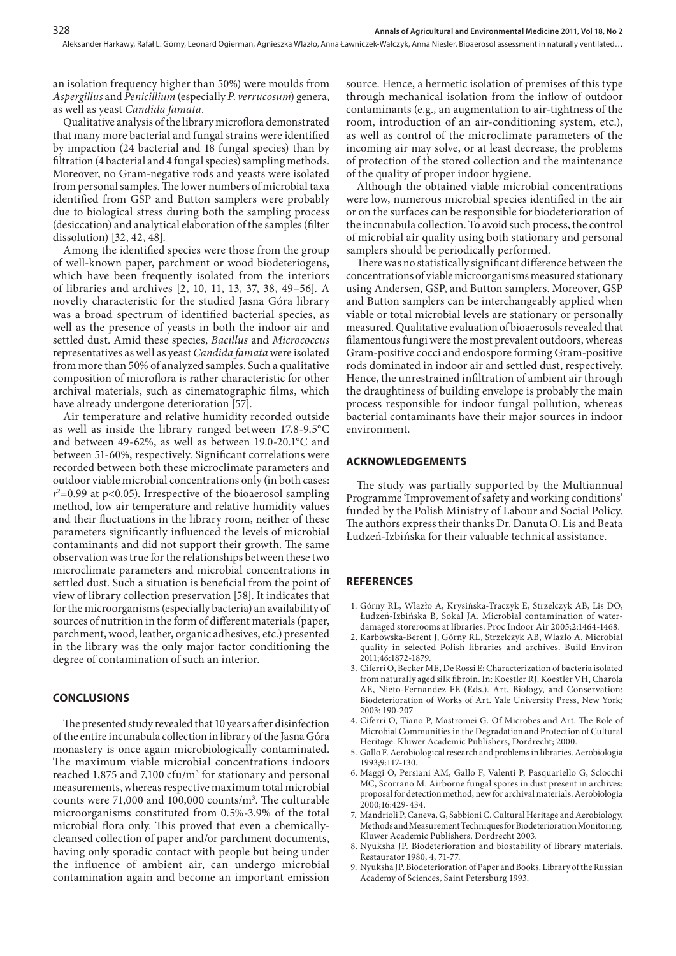an isolation frequency higher than 50%) were moulds from *Aspergillus* and *Penicillium* (especially *P*. *verrucosum*) genera, as well as yeast *Candida famata*.

Qualitative analysis of the library microflora demonstrated that many more bacterial and fungal strains were identified by impaction (24 bacterial and 18 fungal species) than by filtration (4 bacterial and 4 fungal species) sampling methods. Moreover, no Gram-negative rods and yeasts were isolated from personal samples. The lower numbers of microbial taxa identified from GSP and Button samplers were probably due to biological stress during both the sampling process (desiccation) and analytical elaboration of the samples (filter dissolution) [32, 42, 48].

Among the identified species were those from the group of well-known paper, parchment or wood biodeteriogens, which have been frequently isolated from the interiors of libraries and archives [2, 10, 11, 13, 37, 38, 49–56]. A novelty characteristic for the studied Jasna Góra library was a broad spectrum of identified bacterial species, as well as the presence of yeasts in both the indoor air and settled dust. Amid these species, *Bacillus* and *Micrococcus* representatives as well as yeast *Candida famata* were isolated from more than 50% of analyzed samples. Such a qualitative composition of microflora is rather characteristic for other archival materials, such as cinematographic films, which have already undergone deterioration [57].

Air temperature and relative humidity recorded outside as well as inside the library ranged between 17.8-9.5°C and between 49-62%, as well as between 19.0-20.1°C and between 51-60%, respectively. Significant correlations were recorded between both these microclimate parameters and outdoor viable microbial concentrations only (in both cases: *r2* =0.99 at p<0.05). Irrespective of the bioaerosol sampling method, low air temperature and relative humidity values and their fluctuations in the library room, neither of these parameters significantly influenced the levels of microbial contaminants and did not support their growth. The same observation was true for the relationships between these two microclimate parameters and microbial concentrations in settled dust. Such a situation is beneficial from the point of view of library collection preservation [58]. It indicates that for the microorganisms (especially bacteria) an availability of sources of nutrition in the form of different materials (paper, parchment, wood, leather, organic adhesives, etc.) presented in the library was the only major factor conditioning the degree of contamination of such an interior.

#### **CONCLUSIONS**

The presented study revealed that 10 years after disinfection of the entire incunabula collection in library of the Jasna Góra monastery is once again microbiologically contaminated. The maximum viable microbial concentrations indoors reached  $1,875$  and  $7,100$  cfu/m<sup>3</sup> for stationary and personal measurements, whereas respective maximum total microbial counts were  $71,000$  and  $100,000$  counts/m<sup>3</sup>. The culturable microorganisms constituted from 0.5%-3.9% of the total microbial flora only. This proved that even a chemicallycleansed collection of paper and/or parchment documents, having only sporadic contact with people but being under the influence of ambient air, can undergo microbial contamination again and become an important emission

source. Hence, a hermetic isolation of premises of this type through mechanical isolation from the inflow of outdoor contaminants (e.g., an augmentation to air-tightness of the room, introduction of an air-conditioning system, etc.), as well as control of the microclimate parameters of the incoming air may solve, or at least decrease, the problems of protection of the stored collection and the maintenance of the quality of proper indoor hygiene.

Although the obtained viable microbial concentrations were low, numerous microbial species identified in the air or on the surfaces can be responsible for biodeterioration of the incunabula collection. To avoid such process, the control of microbial air quality using both stationary and personal samplers should be periodically performed.

There was no statistically significant difference between the concentrations of viable microorganisms measured stationary using Andersen, GSP, and Button samplers. Moreover, GSP and Button samplers can be interchangeably applied when viable or total microbial levels are stationary or personally measured. Qualitative evaluation of bioaerosols revealed that filamentous fungi were the most prevalent outdoors, whereas Gram-positive cocci and endospore forming Gram-positive rods dominated in indoor air and settled dust, respectively. Hence, the unrestrained infiltration of ambient air through the draughtiness of building envelope is probably the main process responsible for indoor fungal pollution, whereas bacterial contaminants have their major sources in indoor environment.

# **ACKNOWLEDGEMENTS**

The study was partially supported by the Multiannual Programme 'Improvement of safety and working conditions' funded by the Polish Ministry of Labour and Social Policy. The authors express their thanks Dr. Danuta O. Lis and Beata Łudzeń-Izbińska for their valuable technical assistance.

# **REFERENCES**

- 1. Górny RL, Wlazło A, Krysińska-Traczyk E, Strzelczyk AB, Lis DO, Łudzeń-Izbińska B, Sokal JA. Microbial contamination of waterdamaged storerooms at libraries. Proc Indoor Air 2005;2:1464-1468.
- 2. Karbowska-Berent J, Górny RL, Strzelczyk AB, Wlazło A. Microbial quality in selected Polish libraries and archives. Build Environ 2011;46:1872-1879.
- 3. Ciferri O, Becker ME, De Rossi E: Characterization of bacteria isolated from naturally aged silk fibroin. In: Koestler RJ, Koestler VH, Charola AE, Nieto-Fernandez FE (Eds.). Art, Biology, and Conservation: Biodeterioration of Works of Art. Yale University Press, New York; 2003: 190-207
- 4. Ciferri O, Tiano P, Mastromei G, Of Microbes and Art. The Role of Microbial Communities in the Degradation and Protection of Cultural Heritage. Kluwer Academic Publishers, Dordrecht; 2000.
- 5. Gallo F. Aerobiological research and problems in libraries. Aerobiologia 1993;9:117-130.
- 6. Maggi O, Persiani AM, Gallo F, Valenti P, Pasquariello G, Sclocchi MC, Scorrano M. Airborne fungal spores in dust present in archives: proposal for detection method, new for archival materials. Aerobiologia 2000;16:429-434.
- 7. Mandrioli P, Caneva, G, Sabbioni C. Cultural Heritage and Aerobiology. Methods and Measurement Techniques for Biodeterioration Monitoring. Kluwer Academic Publishers, Dordrecht 2003.
- 8. Nyuksha JP. Biodeterioration and biostability of library materials. Restaurator 1980, 4, 71-77.
- 9. Nyuksha JP. Biodeterioration of Paper and Books. Library of the Russian Academy of Sciences, Saint Petersburg 1993.